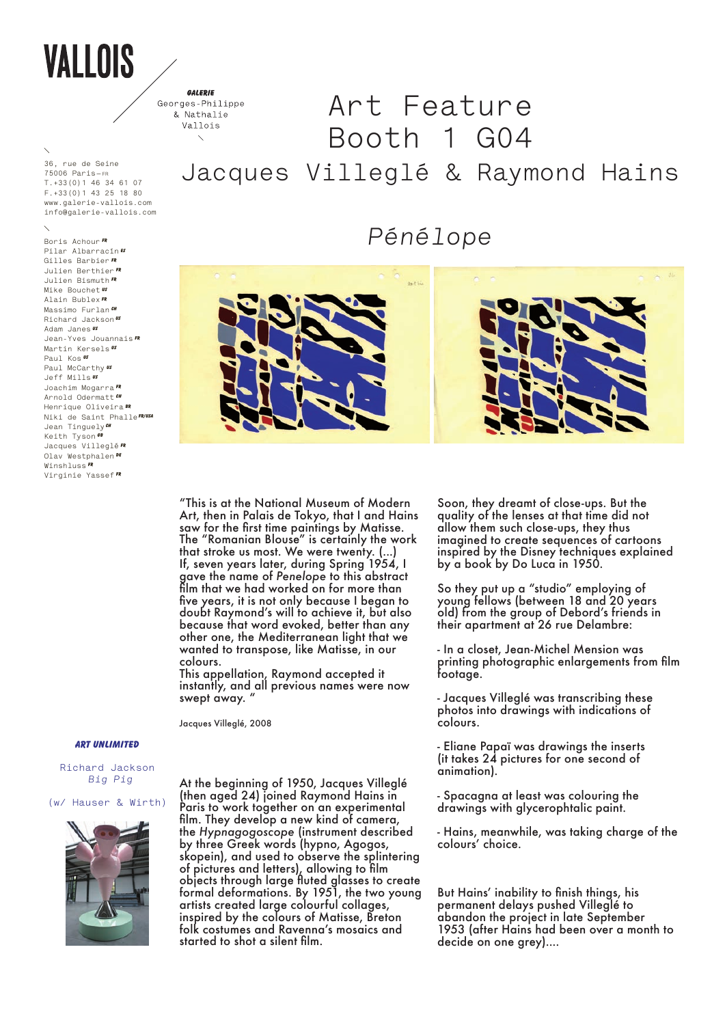## VALLOIS

**36, rue de Seine 75006 Paris—fr T.+33(0)1 46 34 61 07 f.+33(0)1 43 25 18 80 www.galerie-vallois.com info@galerie-vallois.com**

**Boris Achour Fr Pilar Albarracín es Gilles Barbier FR Julien Berthier FR Julien Bismuth FR Mike Bouchet US Alain Bublex FR Massimo Furlan CH Richard Jackson US Adam Janes US Jean-Yves Jouannais FR Martin Kersels US Paul Kos Us Paul McCarthy Us Jeff Mills US Joachim Mogarra FR Arnold Odermatt CH Henrique Oliveira BR Niki de Saint PhalleFR/USA** Jean Tinguely<sup>*CH*</sup> **Keith Tyson GB Jacques Villeglé FR Olav Westphalen De Winshluss FR Virginie Yassef FR**

GALERIE Georges-Philippe & Nathalie

## **Art Feature** Vallois **Booth 1 G04 Jacques Villeglé & Raymond Hains**

*Pénélope*



"This is at the National Museum of Modern Art, then in Palais de Tokyo, that I and Hains saw for the first time paintings by Matisse. The "Romanian Blouse" is certainly the work that stroke us most. We were twenty. (...) If, seven years later, during Spring 1954, I gave the name of *Penelope* to this abstract film that we had worked on for more than five years, it is not only because I began to doubt Raymond's will to achieve it, but also because that word evoked, better than any other one, the Mediterranean light that we wanted to transpose, like Matisse, in our colours.

This appellation, Raymond accepted it instantly, and all previous names were now swept away. "

Jacques Villeglé, 2008

## **ART unlimited**

**Richard Jackson**  *Big Pig*

**(w/ Hauser & Wirth)**



At the beginning of 1950, Jacques Villeglé (then aged 24) joined Raymond Hains in Paris to work together on an experimental film. They develop a new kind of camera, the *Hypnagogoscope* (instrument described by three Greek words (hypno, Agogos, skopein), and used to observe the splintering of pictures and letters), allowing to film objects through large fluted glasses to create formal deformations. By 1951, the two young artists created large colourful collages, inspired by the colours of Matisse, Breton folk costumes and Ravenna's mosaics and started to shot a silent film.

Soon, they dreamt of close-ups. But the quality of the lenses at that time did not allow them such close-ups, they thus imagined to create sequences of cartoons inspired by the Disney techniques explained by a book by Do Luca in 1950.

So they put up a "studio" employing of young fellows (between 18 and 20 years old) from the group of Debord's friends in their apartment at 26 rue Delambre:

- In a closet, Jean-Michel Mension was printing photographic enlargements from film footage.

- Jacques Villeglé was transcribing these photos into drawings with indications of colours.

- Eliane Papaï was drawings the inserts (it takes 24 pictures for one second of animation).

- Spacagna at least was colouring the drawings with glycerophtalic paint.

- Hains, meanwhile, was taking charge of the colours' choice.

But Hains' inability to finish things, his permanent delays pushed Villeglé to abandon the project in late September 1953 (after Hains had been over a month to decide on one grey)....